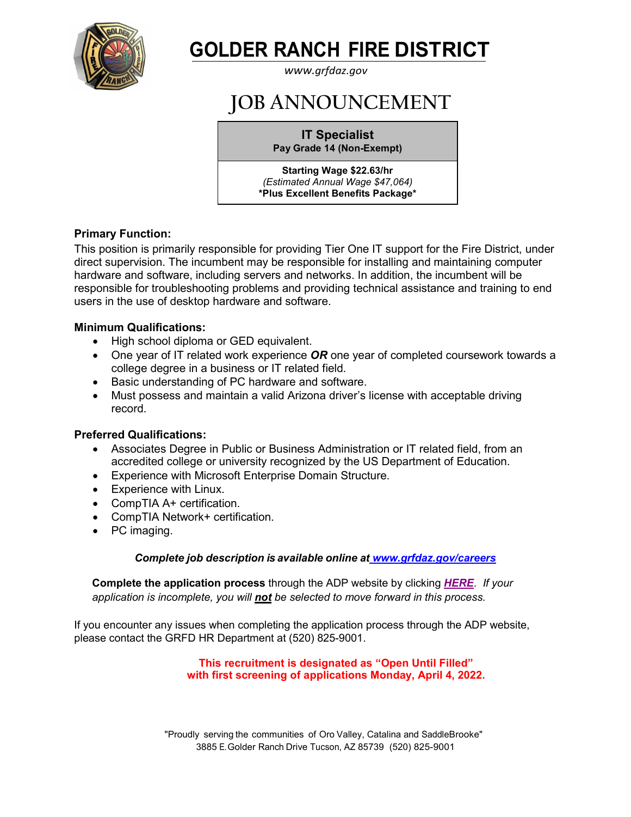

# **GOLDER RANCH FIRE DISTRICT**

*[www.grfdaz.gov](http://www.grfdaz.gov/)*

## **JOB ANNOUNCEMENT**

**IT Specialist Pay Grade 14 (Non-Exempt)**

**Starting Wage \$22.63/hr** *(Estimated Annual Wage \$47,064)* **\*Plus Excellent Benefits Package\***

## **Primary Function:**

This position is primarily responsible for providing Tier One IT support for the Fire District, under direct supervision. The incumbent may be responsible for installing and maintaining computer hardware and software, including servers and networks. In addition, the incumbent will be responsible for troubleshooting problems and providing technical assistance and training to end users in the use of desktop hardware and software.

## **Minimum Qualifications:**

- High school diploma or GED equivalent.
- One year of IT related work experience *OR* one year of completed coursework towards a college degree in a business or IT related field.
- Basic understanding of PC hardware and software.
- Must possess and maintain a valid Arizona driver's license with acceptable driving record.

## **Preferred Qualifications:**

- Associates Degree in Public or Business Administration or IT related field, from an accredited college or university recognized by the US Department of Education.
- Experience with Microsoft Enterprise Domain Structure.
- Experience with Linux.
- CompTIA A+ certification.
- CompTIA Network+ certification.
- PC imaging.

## *Complete job description is available online at [www.grfdaz.gov/careers](https://grfdaz.gov/careers/)*

 **Complete the application process** through the ADP website by clicking *[HERE](https://workforcenow.adp.com/mascsr/default/mdf/recruitment/recruitment.html?cid=7d83f652-9baa-45cc-b6c9-a08b0f77f4f6&ccId=19000101_000001&jobId=437151&source=CC2&lang=en_US)*. *If your application is incomplete, you will not be selected to move forward in this process.*

If you encounter any issues when completing the application process through the ADP website, please contact the GRFD HR Department at (520) 825-9001.

### **This recruitment is designated as "Open Until Filled" with first screening of applications Monday, April 4, 2022.**

"Proudly serving the communities of Oro Valley, Catalina and SaddleBrooke" 3885 E.Golder Ranch Drive Tucson, AZ 85739 (520) 825-9001